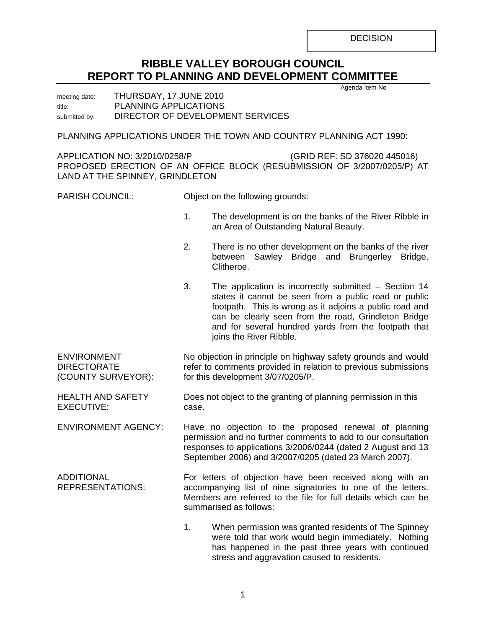**DECISION** 

# **RIBBLE VALLEY BOROUGH COUNCIL REPORT TO PLANNING AND DEVELOPMENT COMMITTEE**

Agenda Item No

meeting date: THURSDAY, 17 JUNE 2010 title: PLANNING APPLICATIONS submitted by: DIRECTOR OF DEVELOPMENT SERVICES

PLANNING APPLICATIONS UNDER THE TOWN AND COUNTRY PLANNING ACT 1990:

APPLICATION NO: 3/2010/0258/P (GRID REF: SD 376020 445016) PROPOSED ERECTION OF AN OFFICE BLOCK (RESUBMISSION OF 3/2007/0205/P) AT LAND AT THE SPINNEY, GRINDLETON

PARISH COUNCIL: Object on the following grounds:

- 1. The development is on the banks of the River Ribble in an Area of Outstanding Natural Beauty.
- 2. There is no other development on the banks of the river between Sawley Bridge and Brungerley Bridge, Clitheroe.
- 3. The application is incorrectly submitted Section 14 states it cannot be seen from a public road or public footpath. This is wrong as it adjoins a public road and can be clearly seen from the road, Grindleton Bridge and for several hundred yards from the footpath that joins the River Ribble.

ENVIRONMENT **DIRECTORATE** (COUNTY SURVEYOR): No objection in principle on highway safety grounds and would refer to comments provided in relation to previous submissions for this development 3/07/0205/P.

HEALTH AND SAFETY EXECUTIVE: Does not object to the granting of planning permission in this case.

ENVIRONMENT AGENCY: Have no objection to the proposed renewal of planning permission and no further comments to add to our consultation responses to applications 3/2006/0244 (dated 2 August and 13 September 2006) and 3/2007/0205 (dated 23 March 2007).

ADDITIONAL REPRESENTATIONS: For letters of objection have been received along with an accompanying list of nine signatories to one of the letters. Members are referred to the file for full details which can be summarised as follows:

> 1. When permission was granted residents of The Spinney were told that work would begin immediately. Nothing has happened in the past three years with continued stress and aggravation caused to residents.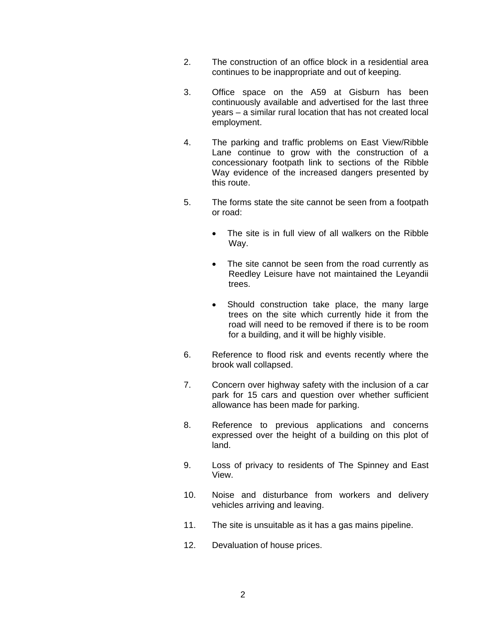- 2. The construction of an office block in a residential area continues to be inappropriate and out of keeping.
- 3. Office space on the A59 at Gisburn has been continuously available and advertised for the last three years – a similar rural location that has not created local employment.
- 4. The parking and traffic problems on East View/Ribble Lane continue to grow with the construction of a concessionary footpath link to sections of the Ribble Way evidence of the increased dangers presented by this route.
- 5. The forms state the site cannot be seen from a footpath or road:
	- The site is in full view of all walkers on the Ribble Way.
	- The site cannot be seen from the road currently as Reedley Leisure have not maintained the Leyandii trees.
	- Should construction take place, the many large trees on the site which currently hide it from the road will need to be removed if there is to be room for a building, and it will be highly visible.
- 6. Reference to flood risk and events recently where the brook wall collapsed.
- 7. Concern over highway safety with the inclusion of a car park for 15 cars and question over whether sufficient allowance has been made for parking.
- 8. Reference to previous applications and concerns expressed over the height of a building on this plot of land.
- 9. Loss of privacy to residents of The Spinney and East View.
- 10. Noise and disturbance from workers and delivery vehicles arriving and leaving.
- 11. The site is unsuitable as it has a gas mains pipeline.
- 12. Devaluation of house prices.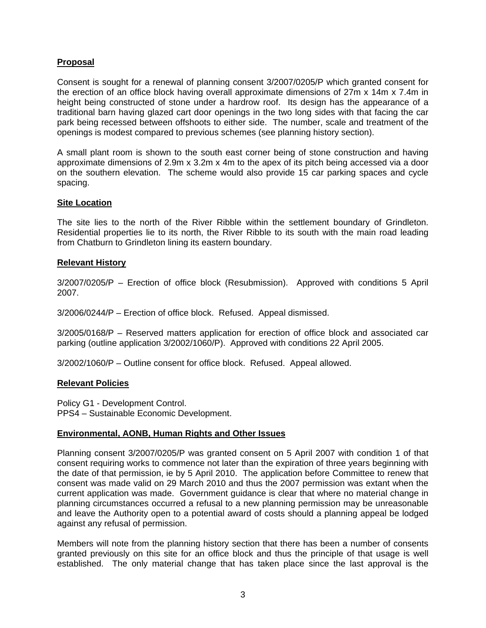## **Proposal**

Consent is sought for a renewal of planning consent 3/2007/0205/P which granted consent for the erection of an office block having overall approximate dimensions of 27m x 14m x 7.4m in height being constructed of stone under a hardrow roof. Its design has the appearance of a traditional barn having glazed cart door openings in the two long sides with that facing the car park being recessed between offshoots to either side. The number, scale and treatment of the openings is modest compared to previous schemes (see planning history section).

A small plant room is shown to the south east corner being of stone construction and having approximate dimensions of 2.9m x 3.2m x 4m to the apex of its pitch being accessed via a door on the southern elevation. The scheme would also provide 15 car parking spaces and cycle spacing.

## **Site Location**

The site lies to the north of the River Ribble within the settlement boundary of Grindleton. Residential properties lie to its north, the River Ribble to its south with the main road leading from Chatburn to Grindleton lining its eastern boundary.

#### **Relevant History**

3/2007/0205/P – Erection of office block (Resubmission). Approved with conditions 5 April 2007.

3/2006/0244/P – Erection of office block. Refused. Appeal dismissed.

3/2005/0168/P – Reserved matters application for erection of office block and associated car parking (outline application 3/2002/1060/P). Approved with conditions 22 April 2005.

3/2002/1060/P – Outline consent for office block. Refused. Appeal allowed.

## **Relevant Policies**

Policy G1 - Development Control. PPS4 – Sustainable Economic Development.

## **Environmental, AONB, Human Rights and Other Issues**

Planning consent 3/2007/0205/P was granted consent on 5 April 2007 with condition 1 of that consent requiring works to commence not later than the expiration of three years beginning with the date of that permission, ie by 5 April 2010. The application before Committee to renew that consent was made valid on 29 March 2010 and thus the 2007 permission was extant when the current application was made. Government guidance is clear that where no material change in planning circumstances occurred a refusal to a new planning permission may be unreasonable and leave the Authority open to a potential award of costs should a planning appeal be lodged against any refusal of permission.

Members will note from the planning history section that there has been a number of consents granted previously on this site for an office block and thus the principle of that usage is well established. The only material change that has taken place since the last approval is the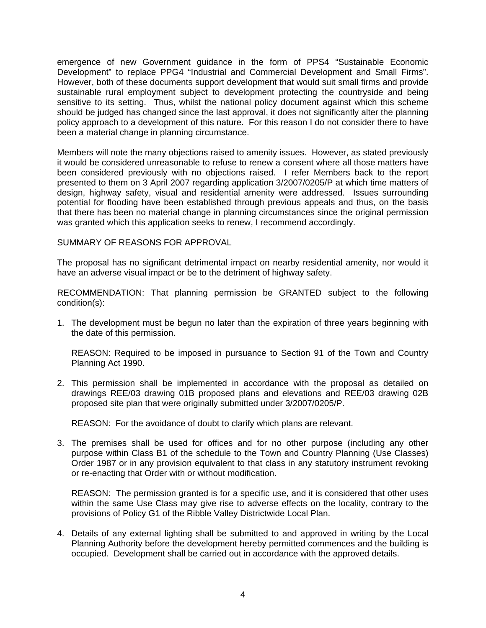emergence of new Government guidance in the form of PPS4 "Sustainable Economic Development" to replace PPG4 "Industrial and Commercial Development and Small Firms". However, both of these documents support development that would suit small firms and provide sustainable rural employment subject to development protecting the countryside and being sensitive to its setting. Thus, whilst the national policy document against which this scheme should be judged has changed since the last approval, it does not significantly alter the planning policy approach to a development of this nature. For this reason I do not consider there to have been a material change in planning circumstance.

Members will note the many objections raised to amenity issues. However, as stated previously it would be considered unreasonable to refuse to renew a consent where all those matters have been considered previously with no objections raised. I refer Members back to the report presented to them on 3 April 2007 regarding application 3/2007/0205/P at which time matters of design, highway safety, visual and residential amenity were addressed. Issues surrounding potential for flooding have been established through previous appeals and thus, on the basis that there has been no material change in planning circumstances since the original permission was granted which this application seeks to renew, I recommend accordingly.

## SUMMARY OF REASONS FOR APPROVAL

The proposal has no significant detrimental impact on nearby residential amenity, nor would it have an adverse visual impact or be to the detriment of highway safety.

RECOMMENDATION: That planning permission be GRANTED subject to the following condition(s):

1. The development must be begun no later than the expiration of three years beginning with the date of this permission.

 REASON: Required to be imposed in pursuance to Section 91 of the Town and Country Planning Act 1990.

2. This permission shall be implemented in accordance with the proposal as detailed on drawings REE/03 drawing 01B proposed plans and elevations and REE/03 drawing 02B proposed site plan that were originally submitted under 3/2007/0205/P.

REASON: For the avoidance of doubt to clarify which plans are relevant.

3. The premises shall be used for offices and for no other purpose (including any other purpose within Class B1 of the schedule to the Town and Country Planning (Use Classes) Order 1987 or in any provision equivalent to that class in any statutory instrument revoking or re-enacting that Order with or without modification.

 REASON: The permission granted is for a specific use, and it is considered that other uses within the same Use Class may give rise to adverse effects on the locality, contrary to the provisions of Policy G1 of the Ribble Valley Districtwide Local Plan.

4. Details of any external lighting shall be submitted to and approved in writing by the Local Planning Authority before the development hereby permitted commences and the building is occupied. Development shall be carried out in accordance with the approved details.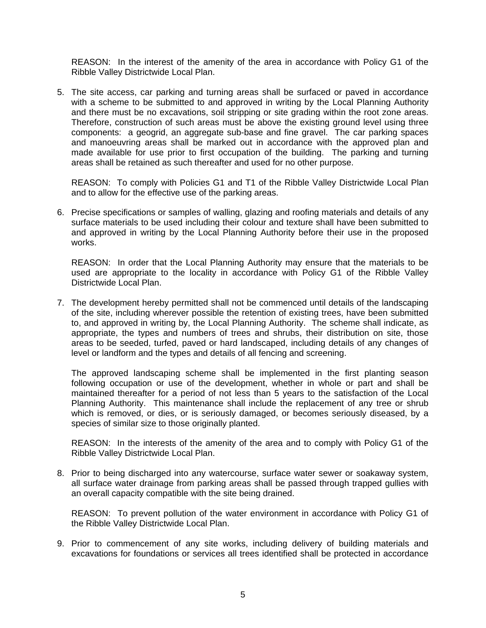REASON: In the interest of the amenity of the area in accordance with Policy G1 of the Ribble Valley Districtwide Local Plan.

5. The site access, car parking and turning areas shall be surfaced or paved in accordance with a scheme to be submitted to and approved in writing by the Local Planning Authority and there must be no excavations, soil stripping or site grading within the root zone areas. Therefore, construction of such areas must be above the existing ground level using three components: a geogrid, an aggregate sub-base and fine gravel. The car parking spaces and manoeuvring areas shall be marked out in accordance with the approved plan and made available for use prior to first occupation of the building. The parking and turning areas shall be retained as such thereafter and used for no other purpose.

 REASON: To comply with Policies G1 and T1 of the Ribble Valley Districtwide Local Plan and to allow for the effective use of the parking areas.

6. Precise specifications or samples of walling, glazing and roofing materials and details of any surface materials to be used including their colour and texture shall have been submitted to and approved in writing by the Local Planning Authority before their use in the proposed works.

 REASON: In order that the Local Planning Authority may ensure that the materials to be used are appropriate to the locality in accordance with Policy G1 of the Ribble Valley Districtwide Local Plan.

7. The development hereby permitted shall not be commenced until details of the landscaping of the site, including wherever possible the retention of existing trees, have been submitted to, and approved in writing by, the Local Planning Authority. The scheme shall indicate, as appropriate, the types and numbers of trees and shrubs, their distribution on site, those areas to be seeded, turfed, paved or hard landscaped, including details of any changes of level or landform and the types and details of all fencing and screening.

 The approved landscaping scheme shall be implemented in the first planting season following occupation or use of the development, whether in whole or part and shall be maintained thereafter for a period of not less than 5 years to the satisfaction of the Local Planning Authority. This maintenance shall include the replacement of any tree or shrub which is removed, or dies, or is seriously damaged, or becomes seriously diseased, by a species of similar size to those originally planted.

 REASON: In the interests of the amenity of the area and to comply with Policy G1 of the Ribble Valley Districtwide Local Plan.

8. Prior to being discharged into any watercourse, surface water sewer or soakaway system, all surface water drainage from parking areas shall be passed through trapped gullies with an overall capacity compatible with the site being drained.

 REASON: To prevent pollution of the water environment in accordance with Policy G1 of the Ribble Valley Districtwide Local Plan.

9. Prior to commencement of any site works, including delivery of building materials and excavations for foundations or services all trees identified shall be protected in accordance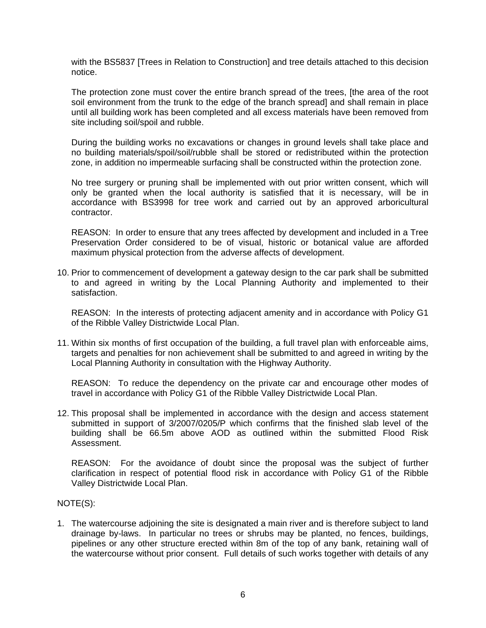with the BS5837 [Trees in Relation to Construction] and tree details attached to this decision notice.

 The protection zone must cover the entire branch spread of the trees, [the area of the root soil environment from the trunk to the edge of the branch spread] and shall remain in place until all building work has been completed and all excess materials have been removed from site including soil/spoil and rubble.

 During the building works no excavations or changes in ground levels shall take place and no building materials/spoil/soil/rubble shall be stored or redistributed within the protection zone, in addition no impermeable surfacing shall be constructed within the protection zone.

 No tree surgery or pruning shall be implemented with out prior written consent, which will only be granted when the local authority is satisfied that it is necessary, will be in accordance with BS3998 for tree work and carried out by an approved arboricultural contractor.

 REASON: In order to ensure that any trees affected by development and included in a Tree Preservation Order considered to be of visual, historic or botanical value are afforded maximum physical protection from the adverse affects of development.

10. Prior to commencement of development a gateway design to the car park shall be submitted to and agreed in writing by the Local Planning Authority and implemented to their satisfaction.

 REASON: In the interests of protecting adjacent amenity and in accordance with Policy G1 of the Ribble Valley Districtwide Local Plan.

11. Within six months of first occupation of the building, a full travel plan with enforceable aims, targets and penalties for non achievement shall be submitted to and agreed in writing by the Local Planning Authority in consultation with the Highway Authority.

 REASON: To reduce the dependency on the private car and encourage other modes of travel in accordance with Policy G1 of the Ribble Valley Districtwide Local Plan.

12. This proposal shall be implemented in accordance with the design and access statement submitted in support of 3/2007/0205/P which confirms that the finished slab level of the building shall be 66.5m above AOD as outlined within the submitted Flood Risk Assessment.

 REASON: For the avoidance of doubt since the proposal was the subject of further clarification in respect of potential flood risk in accordance with Policy G1 of the Ribble Valley Districtwide Local Plan.

NOTE(S):

1. The watercourse adjoining the site is designated a main river and is therefore subject to land drainage by-laws. In particular no trees or shrubs may be planted, no fences, buildings, pipelines or any other structure erected within 8m of the top of any bank, retaining wall of the watercourse without prior consent. Full details of such works together with details of any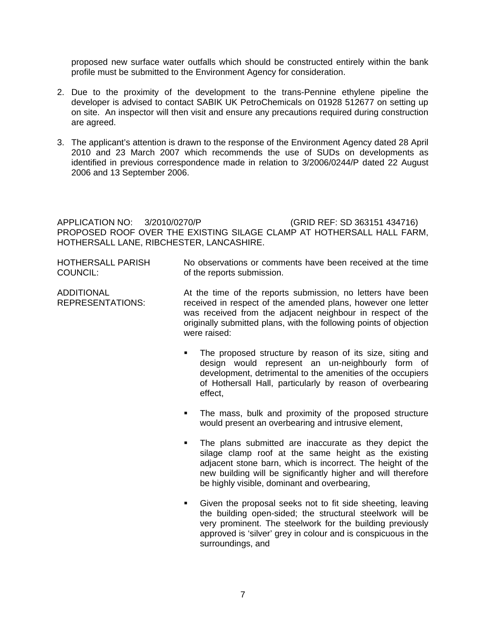proposed new surface water outfalls which should be constructed entirely within the bank profile must be submitted to the Environment Agency for consideration.

- 2. Due to the proximity of the development to the trans-Pennine ethylene pipeline the developer is advised to contact SABIK UK PetroChemicals on 01928 512677 on setting up on site. An inspector will then visit and ensure any precautions required during construction are agreed.
- 3. The applicant's attention is drawn to the response of the Environment Agency dated 28 April 2010 and 23 March 2007 which recommends the use of SUDs on developments as identified in previous correspondence made in relation to 3/2006/0244/P dated 22 August 2006 and 13 September 2006.

APPLICATION NO: 3/2010/0270/P (GRID REF: SD 363151 434716) PROPOSED ROOF OVER THE EXISTING SILAGE CLAMP AT HOTHERSALL HALL FARM, HOTHERSALL LANE, RIBCHESTER, LANCASHIRE.

| HOTHERSALL PARISH | No observations or comments have been received at the time |
|-------------------|------------------------------------------------------------|
| COUNCIL:          | of the reports submission.                                 |

| <b>ADDITIONAL</b> | At the time of the reports submission, no letters have been        |
|-------------------|--------------------------------------------------------------------|
| REPRESENTATIONS:  | received in respect of the amended plans, however one letter       |
|                   | was received from the adjacent neighbour in respect of the         |
|                   | originally submitted plans, with the following points of objection |
|                   | were raised:                                                       |

- The proposed structure by reason of its size, siting and design would represent an un-neighbourly form of development, detrimental to the amenities of the occupiers of Hothersall Hall, particularly by reason of overbearing effect,
- The mass, bulk and proximity of the proposed structure would present an overbearing and intrusive element,
- The plans submitted are inaccurate as they depict the silage clamp roof at the same height as the existing adjacent stone barn, which is incorrect. The height of the new building will be significantly higher and will therefore be highly visible, dominant and overbearing,
- Given the proposal seeks not to fit side sheeting, leaving the building open-sided; the structural steelwork will be very prominent. The steelwork for the building previously approved is 'silver' grey in colour and is conspicuous in the surroundings, and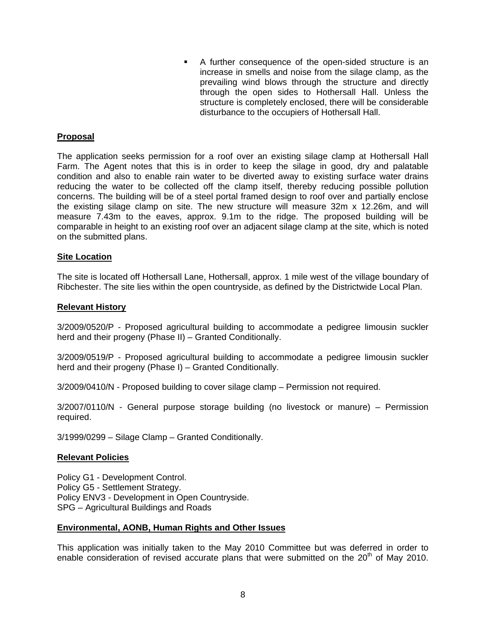A further consequence of the open-sided structure is an increase in smells and noise from the silage clamp, as the prevailing wind blows through the structure and directly through the open sides to Hothersall Hall. Unless the structure is completely enclosed, there will be considerable disturbance to the occupiers of Hothersall Hall.

## **Proposal**

The application seeks permission for a roof over an existing silage clamp at Hothersall Hall Farm. The Agent notes that this is in order to keep the silage in good, dry and palatable condition and also to enable rain water to be diverted away to existing surface water drains reducing the water to be collected off the clamp itself, thereby reducing possible pollution concerns. The building will be of a steel portal framed design to roof over and partially enclose the existing silage clamp on site. The new structure will measure 32m x 12.26m, and will measure 7.43m to the eaves, approx. 9.1m to the ridge. The proposed building will be comparable in height to an existing roof over an adjacent silage clamp at the site, which is noted on the submitted plans.

## **Site Location**

The site is located off Hothersall Lane, Hothersall, approx. 1 mile west of the village boundary of Ribchester. The site lies within the open countryside, as defined by the Districtwide Local Plan.

#### **Relevant History**

3/2009/0520/P - Proposed agricultural building to accommodate a pedigree limousin suckler herd and their progeny (Phase II) – Granted Conditionally.

3/2009/0519/P - Proposed agricultural building to accommodate a pedigree limousin suckler herd and their progeny (Phase I) – Granted Conditionally.

3/2009/0410/N - Proposed building to cover silage clamp – Permission not required.

3/2007/0110/N - General purpose storage building (no livestock or manure) – Permission required.

3/1999/0299 – Silage Clamp – Granted Conditionally.

## **Relevant Policies**

Policy G1 - Development Control. Policy G5 - Settlement Strategy. Policy ENV3 - Development in Open Countryside. SPG – Agricultural Buildings and Roads

#### **Environmental, AONB, Human Rights and Other Issues**

This application was initially taken to the May 2010 Committee but was deferred in order to enable consideration of revised accurate plans that were submitted on the  $20<sup>th</sup>$  of May 2010.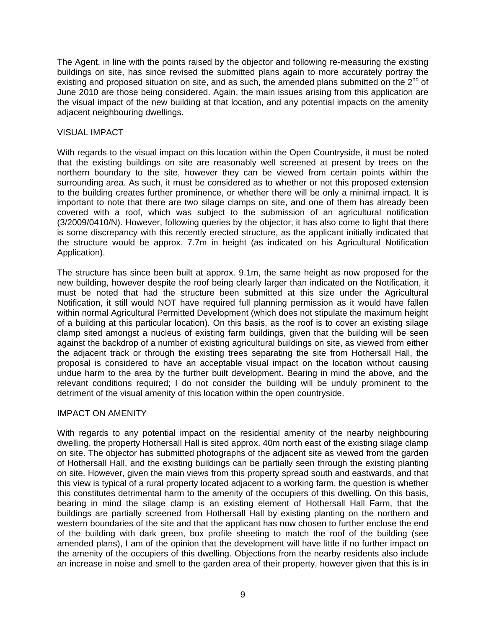The Agent, in line with the points raised by the objector and following re-measuring the existing buildings on site, has since revised the submitted plans again to more accurately portray the existing and proposed situation on site, and as such, the amended plans submitted on the  $2<sup>nd</sup>$  of June 2010 are those being considered. Again, the main issues arising from this application are the visual impact of the new building at that location, and any potential impacts on the amenity adjacent neighbouring dwellings.

## VISUAL IMPACT

With regards to the visual impact on this location within the Open Countryside, it must be noted that the existing buildings on site are reasonably well screened at present by trees on the northern boundary to the site, however they can be viewed from certain points within the surrounding area. As such, it must be considered as to whether or not this proposed extension to the building creates further prominence, or whether there will be only a minimal impact. It is important to note that there are two silage clamps on site, and one of them has already been covered with a roof, which was subject to the submission of an agricultural notification (3/2009/0410/N). However, following queries by the objector, it has also come to light that there is some discrepancy with this recently erected structure, as the applicant initially indicated that the structure would be approx. 7.7m in height (as indicated on his Agricultural Notification Application).

The structure has since been built at approx. 9.1m, the same height as now proposed for the new building, however despite the roof being clearly larger than indicated on the Notification, it must be noted that had the structure been submitted at this size under the Agricultural Notification, it still would NOT have required full planning permission as it would have fallen within normal Agricultural Permitted Development (which does not stipulate the maximum height of a building at this particular location). On this basis, as the roof is to cover an existing silage clamp sited amongst a nucleus of existing farm buildings, given that the building will be seen against the backdrop of a number of existing agricultural buildings on site, as viewed from either the adjacent track or through the existing trees separating the site from Hothersall Hall, the proposal is considered to have an acceptable visual impact on the location without causing undue harm to the area by the further built development. Bearing in mind the above, and the relevant conditions required; I do not consider the building will be unduly prominent to the detriment of the visual amenity of this location within the open countryside.

## IMPACT ON AMENITY

With regards to any potential impact on the residential amenity of the nearby neighbouring dwelling, the property Hothersall Hall is sited approx. 40m north east of the existing silage clamp on site. The objector has submitted photographs of the adjacent site as viewed from the garden of Hothersall Hall, and the existing buildings can be partially seen through the existing planting on site. However, given the main views from this property spread south and eastwards, and that this view is typical of a rural property located adjacent to a working farm, the question is whether this constitutes detrimental harm to the amenity of the occupiers of this dwelling. On this basis, bearing in mind the silage clamp is an existing element of Hothersall Hall Farm, that the buildings are partially screened from Hothersall Hall by existing planting on the northern and western boundaries of the site and that the applicant has now chosen to further enclose the end of the building with dark green, box profile sheeting to match the roof of the building (see amended plans), I am of the opinion that the development will have little if no further impact on the amenity of the occupiers of this dwelling. Objections from the nearby residents also include an increase in noise and smell to the garden area of their property, however given that this is in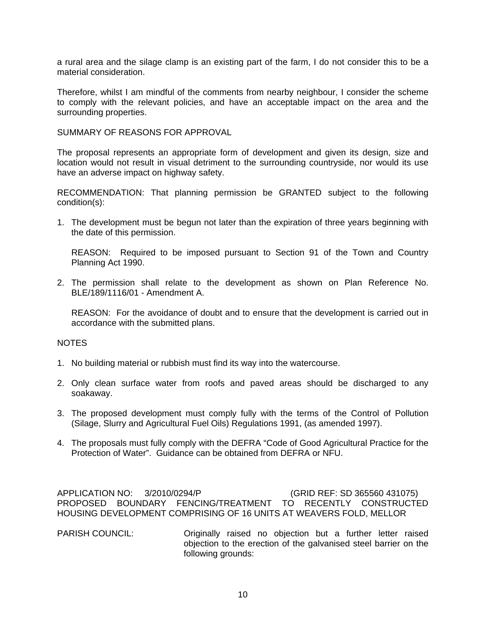a rural area and the silage clamp is an existing part of the farm, I do not consider this to be a material consideration.

Therefore, whilst I am mindful of the comments from nearby neighbour, I consider the scheme to comply with the relevant policies, and have an acceptable impact on the area and the surrounding properties.

SUMMARY OF REASONS FOR APPROVAL

The proposal represents an appropriate form of development and given its design, size and location would not result in visual detriment to the surrounding countryside, nor would its use have an adverse impact on highway safety.

RECOMMENDATION: That planning permission be GRANTED subject to the following condition(s):

1. The development must be begun not later than the expiration of three years beginning with the date of this permission.

 REASON: Required to be imposed pursuant to Section 91 of the Town and Country Planning Act 1990.

2. The permission shall relate to the development as shown on Plan Reference No. BLE/189/1116/01 - Amendment A.

 REASON: For the avoidance of doubt and to ensure that the development is carried out in accordance with the submitted plans.

## NOTES

- 1. No building material or rubbish must find its way into the watercourse.
- 2. Only clean surface water from roofs and paved areas should be discharged to any soakaway.
- 3. The proposed development must comply fully with the terms of the Control of Pollution (Silage, Slurry and Agricultural Fuel Oils) Regulations 1991, (as amended 1997).
- 4. The proposals must fully comply with the DEFRA "Code of Good Agricultural Practice for the Protection of Water". Guidance can be obtained from DEFRA or NFU.

APPLICATION NO: 3/2010/0294/P (GRID REF: SD 365560 431075) PROPOSED BOUNDARY FENCING/TREATMENT TO RECENTLY CONSTRUCTED HOUSING DEVELOPMENT COMPRISING OF 16 UNITS AT WEAVERS FOLD, MELLOR

PARISH COUNCIL: Originally raised no objection but a further letter raised objection to the erection of the galvanised steel barrier on the following grounds: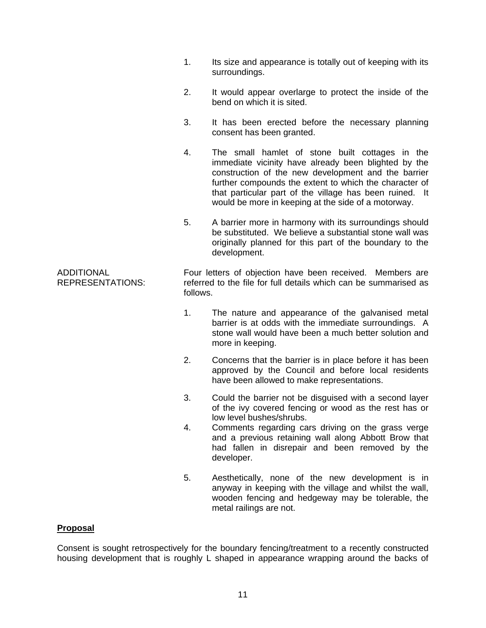|                                              | 1.       | Its size and appearance is totally out of keeping with its<br>surroundings.                                                                                                                                                                                                                                                                |
|----------------------------------------------|----------|--------------------------------------------------------------------------------------------------------------------------------------------------------------------------------------------------------------------------------------------------------------------------------------------------------------------------------------------|
|                                              | 2.       | It would appear overlarge to protect the inside of the<br>bend on which it is sited.                                                                                                                                                                                                                                                       |
|                                              | 3.       | It has been erected before the necessary planning<br>consent has been granted.                                                                                                                                                                                                                                                             |
|                                              | 4.       | The small hamlet of stone built cottages in the<br>immediate vicinity have already been blighted by the<br>construction of the new development and the barrier<br>further compounds the extent to which the character of<br>that particular part of the village has been ruined. It<br>would be more in keeping at the side of a motorway. |
|                                              | 5.       | A barrier more in harmony with its surroundings should<br>be substituted. We believe a substantial stone wall was<br>originally planned for this part of the boundary to the<br>development.                                                                                                                                               |
| <b>ADDITIONAL</b><br><b>REPRESENTATIONS:</b> | follows. | Four letters of objection have been received. Members are<br>referred to the file for full details which can be summarised as                                                                                                                                                                                                              |
|                                              | 1.       | The nature and appearance of the galvanised metal<br>barrier is at odds with the immediate surroundings. A<br>stone wall would have been a much better solution and<br>more in keeping.                                                                                                                                                    |
|                                              | 2.       | Concerns that the barrier is in place before it has been<br>approved by the Council and before local residents<br>have been allowed to make representations.                                                                                                                                                                               |
|                                              | 3.       | Could the barrier not be disguised with a second layer<br>of the ivy covered fencing or wood as the rest has or<br>low level bushes/shrubs.                                                                                                                                                                                                |
|                                              | 4.       | Comments regarding cars driving on the grass verge<br>and a previous retaining wall along Abbott Brow that<br>had fallen in disrepair and been removed by the<br>developer.                                                                                                                                                                |
|                                              | 5.       | Aesthetically, none of the new development is in<br>anyway in keeping with the village and whilst the wall,<br>wooden fencing and hedgeway may be tolerable, the                                                                                                                                                                           |

## **Proposal**

Consent is sought retrospectively for the boundary fencing/treatment to a recently constructed housing development that is roughly L shaped in appearance wrapping around the backs of

metal railings are not.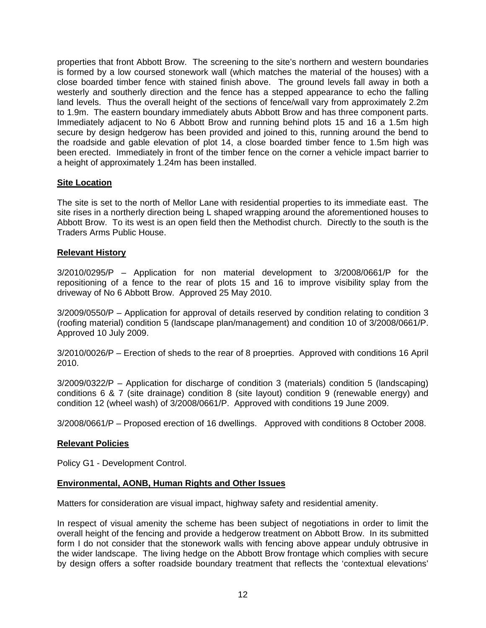properties that front Abbott Brow. The screening to the site's northern and western boundaries is formed by a low coursed stonework wall (which matches the material of the houses) with a close boarded timber fence with stained finish above. The ground levels fall away in both a westerly and southerly direction and the fence has a stepped appearance to echo the falling land levels. Thus the overall height of the sections of fence/wall vary from approximately 2.2m to 1.9m. The eastern boundary immediately abuts Abbott Brow and has three component parts. Immediately adjacent to No 6 Abbott Brow and running behind plots 15 and 16 a 1.5m high secure by design hedgerow has been provided and joined to this, running around the bend to the roadside and gable elevation of plot 14, a close boarded timber fence to 1.5m high was been erected. Immediately in front of the timber fence on the corner a vehicle impact barrier to a height of approximately 1.24m has been installed.

## **Site Location**

The site is set to the north of Mellor Lane with residential properties to its immediate east. The site rises in a northerly direction being L shaped wrapping around the aforementioned houses to Abbott Brow. To its west is an open field then the Methodist church. Directly to the south is the Traders Arms Public House.

## **Relevant History**

3/2010/0295/P – Application for non material development to 3/2008/0661/P for the repositioning of a fence to the rear of plots 15 and 16 to improve visibility splay from the driveway of No 6 Abbott Brow. Approved 25 May 2010.

3/2009/0550/P – Application for approval of details reserved by condition relating to condition 3 (roofing material) condition 5 (landscape plan/management) and condition 10 of 3/2008/0661/P. Approved 10 July 2009.

3/2010/0026/P – Erection of sheds to the rear of 8 proeprties. Approved with conditions 16 April 2010.

3/2009/0322/P – Application for discharge of condition 3 (materials) condition 5 (landscaping) conditions 6 & 7 (site drainage) condition 8 (site layout) condition 9 (renewable energy) and condition 12 (wheel wash) of 3/2008/0661/P. Approved with conditions 19 June 2009.

3/2008/0661/P – Proposed erection of 16 dwellings. Approved with conditions 8 October 2008.

## **Relevant Policies**

Policy G1 - Development Control.

## **Environmental, AONB, Human Rights and Other Issues**

Matters for consideration are visual impact, highway safety and residential amenity.

In respect of visual amenity the scheme has been subject of negotiations in order to limit the overall height of the fencing and provide a hedgerow treatment on Abbott Brow. In its submitted form I do not consider that the stonework walls with fencing above appear unduly obtrusive in the wider landscape. The living hedge on the Abbott Brow frontage which complies with secure by design offers a softer roadside boundary treatment that reflects the 'contextual elevations'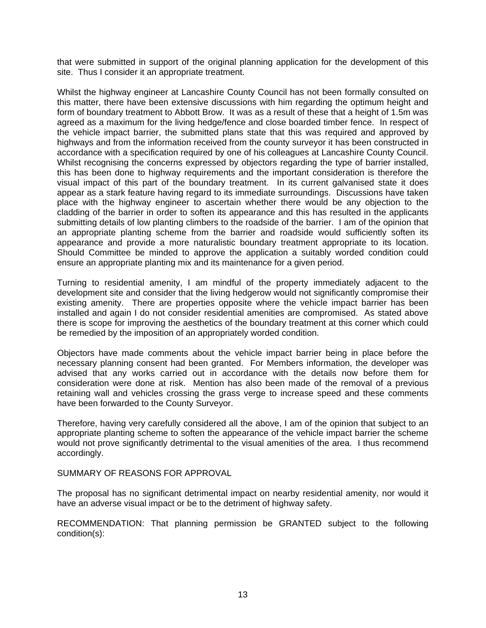that were submitted in support of the original planning application for the development of this site. Thus I consider it an appropriate treatment.

Whilst the highway engineer at Lancashire County Council has not been formally consulted on this matter, there have been extensive discussions with him regarding the optimum height and form of boundary treatment to Abbott Brow. It was as a result of these that a height of 1.5m was agreed as a maximum for the living hedge/fence and close boarded timber fence. In respect of the vehicle impact barrier, the submitted plans state that this was required and approved by highways and from the information received from the county surveyor it has been constructed in accordance with a specification required by one of his colleagues at Lancashire County Council. Whilst recognising the concerns expressed by objectors regarding the type of barrier installed, this has been done to highway requirements and the important consideration is therefore the visual impact of this part of the boundary treatment. In its current galvanised state it does appear as a stark feature having regard to its immediate surroundings. Discussions have taken place with the highway engineer to ascertain whether there would be any objection to the cladding of the barrier in order to soften its appearance and this has resulted in the applicants submitting details of low planting climbers to the roadside of the barrier. I am of the opinion that an appropriate planting scheme from the barrier and roadside would sufficiently soften its appearance and provide a more naturalistic boundary treatment appropriate to its location. Should Committee be minded to approve the application a suitably worded condition could ensure an appropriate planting mix and its maintenance for a given period.

Turning to residential amenity, I am mindful of the property immediately adjacent to the development site and consider that the living hedgerow would not significantly compromise their existing amenity. There are properties opposite where the vehicle impact barrier has been installed and again I do not consider residential amenities are compromised. As stated above there is scope for improving the aesthetics of the boundary treatment at this corner which could be remedied by the imposition of an appropriately worded condition.

Objectors have made comments about the vehicle impact barrier being in place before the necessary planning consent had been granted. For Members information, the developer was advised that any works carried out in accordance with the details now before them for consideration were done at risk. Mention has also been made of the removal of a previous retaining wall and vehicles crossing the grass verge to increase speed and these comments have been forwarded to the County Surveyor.

Therefore, having very carefully considered all the above, I am of the opinion that subject to an appropriate planting scheme to soften the appearance of the vehicle impact barrier the scheme would not prove significantly detrimental to the visual amenities of the area. I thus recommend accordingly.

SUMMARY OF REASONS FOR APPROVAL

The proposal has no significant detrimental impact on nearby residential amenity, nor would it have an adverse visual impact or be to the detriment of highway safety.

RECOMMENDATION: That planning permission be GRANTED subject to the following condition(s):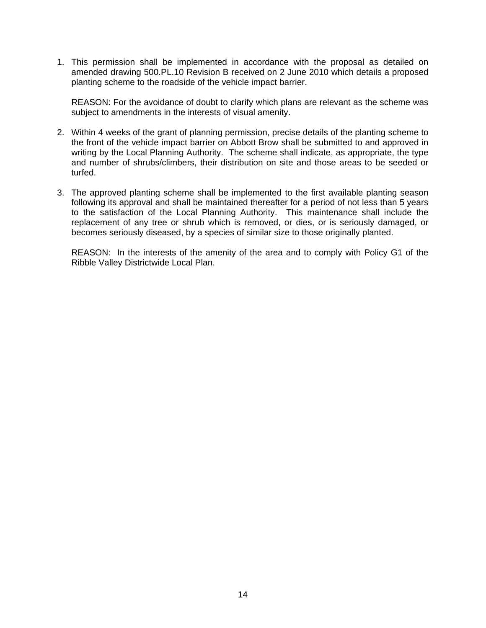1. This permission shall be implemented in accordance with the proposal as detailed on amended drawing 500.PL.10 Revision B received on 2 June 2010 which details a proposed planting scheme to the roadside of the vehicle impact barrier.

 REASON: For the avoidance of doubt to clarify which plans are relevant as the scheme was subject to amendments in the interests of visual amenity.

- 2. Within 4 weeks of the grant of planning permission, precise details of the planting scheme to the front of the vehicle impact barrier on Abbott Brow shall be submitted to and approved in writing by the Local Planning Authority. The scheme shall indicate, as appropriate, the type and number of shrubs/climbers, their distribution on site and those areas to be seeded or turfed.
- 3. The approved planting scheme shall be implemented to the first available planting season following its approval and shall be maintained thereafter for a period of not less than 5 years to the satisfaction of the Local Planning Authority. This maintenance shall include the replacement of any tree or shrub which is removed, or dies, or is seriously damaged, or becomes seriously diseased, by a species of similar size to those originally planted.

 REASON: In the interests of the amenity of the area and to comply with Policy G1 of the Ribble Valley Districtwide Local Plan.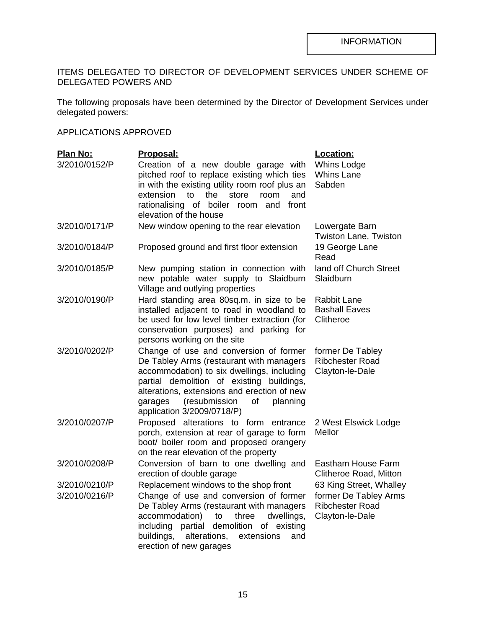## ITEMS DELEGATED TO DIRECTOR OF DEVELOPMENT SERVICES UNDER SCHEME OF DELEGATED POWERS AND

The following proposals have been determined by the Director of Development Services under delegated powers:

## APPLICATIONS APPROVED

| Plan No:      | Proposal:                                                                                                                                                                                                                                                                                                | Location:                                                          |
|---------------|----------------------------------------------------------------------------------------------------------------------------------------------------------------------------------------------------------------------------------------------------------------------------------------------------------|--------------------------------------------------------------------|
| 3/2010/0152/P | Creation of a new double garage with<br>pitched roof to replace existing which ties<br>in with the existing utility room roof plus an<br>extension<br>to<br>the<br>store<br>room<br>and<br>rationalising of boiler room and<br>front<br>elevation of the house                                           | Whins Lodge<br><b>Whins Lane</b><br>Sabden                         |
| 3/2010/0171/P | New window opening to the rear elevation                                                                                                                                                                                                                                                                 | Lowergate Barn<br>Twiston Lane, Twiston                            |
| 3/2010/0184/P | Proposed ground and first floor extension                                                                                                                                                                                                                                                                | 19 George Lane<br>Read                                             |
| 3/2010/0185/P | New pumping station in connection with<br>new potable water supply to Slaidburn<br>Village and outlying properties                                                                                                                                                                                       | land off Church Street<br>Slaidburn                                |
| 3/2010/0190/P | Hard standing area 80sq.m. in size to be<br>installed adjacent to road in woodland to<br>be used for low level timber extraction (for<br>conservation purposes) and parking for<br>persons working on the site                                                                                           | <b>Rabbit Lane</b><br><b>Bashall Eaves</b><br>Clitheroe            |
| 3/2010/0202/P | Change of use and conversion of former<br>De Tabley Arms (restaurant with managers<br>accommodation) to six dwellings, including<br>partial demolition of existing buildings,<br>alterations, extensions and erection of new<br>(resubmission<br>planning<br>of<br>garages<br>application 3/2009/0718/P) | former De Tabley<br><b>Ribchester Road</b><br>Clayton-le-Dale      |
| 3/2010/0207/P | Proposed alterations to form<br>entrance<br>porch, extension at rear of garage to form<br>boot/ boiler room and proposed orangery<br>on the rear elevation of the property                                                                                                                               | 2 West Elswick Lodge<br>Mellor                                     |
| 3/2010/0208/P | Conversion of barn to one dwelling and<br>erection of double garage                                                                                                                                                                                                                                      | Eastham House Farm<br>Clitheroe Road, Mitton                       |
| 3/2010/0210/P | Replacement windows to the shop front                                                                                                                                                                                                                                                                    | 63 King Street, Whalley                                            |
| 3/2010/0216/P | Change of use and conversion of former<br>De Tabley Arms (restaurant with managers<br>accommodation)<br>three<br>dwellings,<br>to<br>partial demolition<br>including<br>of existing<br>buildings,<br>alterations,<br>extensions<br>and<br>erection of new garages                                        | former De Tabley Arms<br><b>Ribchester Road</b><br>Clayton-le-Dale |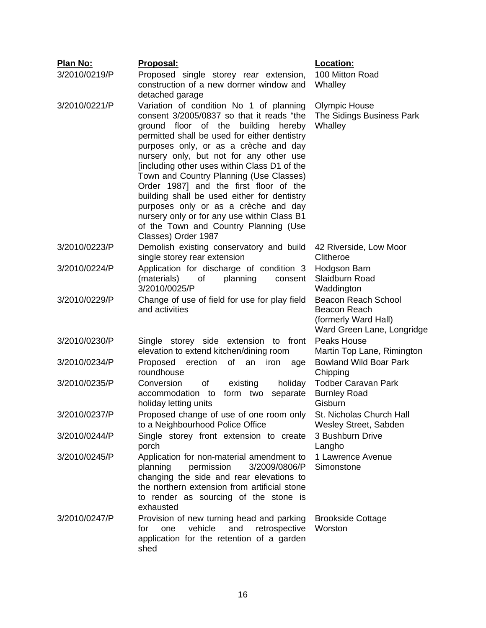| Plan No:      | Proposal:                                                                                | Location:                                 |
|---------------|------------------------------------------------------------------------------------------|-------------------------------------------|
| 3/2010/0219/P | Proposed single storey rear extension,                                                   | 100 Mitton Road                           |
|               | construction of a new dormer window and                                                  | Whalley                                   |
|               | detached garage                                                                          |                                           |
| 3/2010/0221/P | Variation of condition No 1 of planning                                                  | <b>Olympic House</b>                      |
|               | consent 3/2005/0837 so that it reads "the                                                | The Sidings Business Park                 |
|               | ground floor of the building<br>hereby                                                   | Whalley                                   |
|               | permitted shall be used for either dentistry                                             |                                           |
|               | purposes only, or as a crèche and day<br>nursery only, but not for any other use         |                                           |
|               | [including other uses within Class D1 of the                                             |                                           |
|               | Town and Country Planning (Use Classes)                                                  |                                           |
|               | Order 1987] and the first floor of the                                                   |                                           |
|               | building shall be used either for dentistry                                              |                                           |
|               | purposes only or as a crèche and day                                                     |                                           |
|               | nursery only or for any use within Class B1                                              |                                           |
|               | of the Town and Country Planning (Use                                                    |                                           |
|               | Classes) Order 1987                                                                      |                                           |
| 3/2010/0223/P | Demolish existing conservatory and build<br>single storey rear extension                 | 42 Riverside, Low Moor<br>Clitheroe       |
| 3/2010/0224/P | Application for discharge of condition 3                                                 | Hodgson Barn                              |
|               | planning<br>(materials)<br>of<br>consent                                                 | Slaidburn Road                            |
|               | 3/2010/0025/P                                                                            | Waddington                                |
| 3/2010/0229/P | Change of use of field for use for play field                                            | <b>Beacon Reach School</b>                |
|               | and activities                                                                           | Beacon Reach                              |
|               |                                                                                          | (formerly Ward Hall)                      |
|               |                                                                                          | Ward Green Lane, Longridge                |
| 3/2010/0230/P | Single storey side extension to front                                                    | Peaks House                               |
|               | elevation to extend kitchen/dining room                                                  | Martin Top Lane, Rimington                |
| 3/2010/0234/P | Proposed<br>erection<br>of<br>an<br>iron<br>age<br>roundhouse                            | <b>Bowland Wild Boar Park</b><br>Chipping |
| 3/2010/0235/P | Conversion<br>of<br>holiday<br>existing                                                  | <b>Todber Caravan Park</b>                |
|               | accommodation to form two<br>separate                                                    | <b>Burnley Road</b>                       |
|               | holiday letting units                                                                    | Gisburn                                   |
| 3/2010/0237/P | Proposed change of use of one room only                                                  | St. Nicholas Church Hall                  |
|               | to a Neighbourhood Police Office                                                         | Wesley Street, Sabden                     |
| 3/2010/0244/P | Single storey front extension to create                                                  | 3 Bushburn Drive                          |
|               | porch                                                                                    | Langho                                    |
| 3/2010/0245/P | Application for non-material amendment to                                                | 1 Lawrence Avenue                         |
|               | permission<br>3/2009/0806/P<br>planning                                                  | Simonstone                                |
|               | changing the side and rear elevations to<br>the northern extension from artificial stone |                                           |
|               | to render as sourcing of the stone is                                                    |                                           |
|               | exhausted                                                                                |                                           |
| 3/2010/0247/P | Provision of new turning head and parking                                                | <b>Brookside Cottage</b>                  |
|               | vehicle<br>and<br>retrospective<br>for<br>one                                            | Worston                                   |
|               | application for the retention of a garden                                                |                                           |
|               | shed                                                                                     |                                           |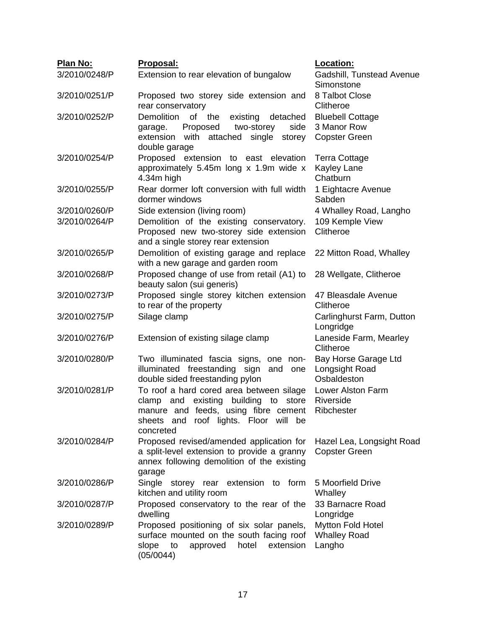| Plan No:      | Proposal:                                                                                                                                                                                  | Location:                                                      |  |  |
|---------------|--------------------------------------------------------------------------------------------------------------------------------------------------------------------------------------------|----------------------------------------------------------------|--|--|
| 3/2010/0248/P | Extension to rear elevation of bungalow                                                                                                                                                    | Gadshill, Tunstead Avenue<br>Simonstone                        |  |  |
| 3/2010/0251/P | Proposed two storey side extension and<br>rear conservatory                                                                                                                                | 8 Talbot Close<br>Clitheroe                                    |  |  |
| 3/2010/0252/P | Demolition<br>existing<br>of the<br>detached<br>Proposed<br>two-storey<br>side<br>garage.<br>attached<br>extension<br>with<br>single<br>storey<br>double garage                            | <b>Bluebell Cottage</b><br>3 Manor Row<br><b>Copster Green</b> |  |  |
| 3/2010/0254/P | Proposed extension to east elevation<br>approximately 5.45m long x 1.9m wide x<br>4.34m high                                                                                               | <b>Terra Cottage</b><br><b>Kayley Lane</b><br>Chatburn         |  |  |
| 3/2010/0255/P | Rear dormer loft conversion with full width<br>dormer windows                                                                                                                              | 1 Eightacre Avenue<br>Sabden                                   |  |  |
| 3/2010/0260/P | Side extension (living room)                                                                                                                                                               | 4 Whalley Road, Langho                                         |  |  |
| 3/2010/0264/P | Demolition of the existing conservatory.<br>Proposed new two-storey side extension<br>and a single storey rear extension                                                                   | 109 Kemple View<br>Clitheroe                                   |  |  |
| 3/2010/0265/P | Demolition of existing garage and replace<br>with a new garage and garden room                                                                                                             | 22 Mitton Road, Whalley                                        |  |  |
| 3/2010/0268/P | Proposed change of use from retail (A1) to<br>beauty salon (sui generis)                                                                                                                   | 28 Wellgate, Clitheroe                                         |  |  |
| 3/2010/0273/P | Proposed single storey kitchen extension<br>to rear of the property                                                                                                                        | 47 Bleasdale Avenue<br>Clitheroe                               |  |  |
| 3/2010/0275/P | Silage clamp                                                                                                                                                                               | Carlinghurst Farm, Dutton<br>Longridge                         |  |  |
| 3/2010/0276/P | Extension of existing silage clamp                                                                                                                                                         | Laneside Farm, Mearley<br>Clitheroe                            |  |  |
| 3/2010/0280/P | Two illuminated fascia signs, one non-<br>illuminated freestanding sign<br>and<br>one<br>double sided freestanding pylon                                                                   | Bay Horse Garage Ltd<br>Longsight Road<br>Osbaldeston          |  |  |
| 3/2010/0281/P | To roof a hard cored area between silage<br>building<br>clamp and existing<br>to<br>store<br>manure and feeds, using fibre cement<br>sheets and roof lights. Floor will<br>be<br>concreted | Lower Alston Farm<br>Riverside<br>Ribchester                   |  |  |
| 3/2010/0284/P | Proposed revised/amended application for<br>a split-level extension to provide a granny<br>annex following demolition of the existing<br>garage                                            | Hazel Lea, Longsight Road<br><b>Copster Green</b>              |  |  |
| 3/2010/0286/P | Single storey rear extension to form<br>kitchen and utility room                                                                                                                           | 5 Moorfield Drive<br>Whalley                                   |  |  |
| 3/2010/0287/P | Proposed conservatory to the rear of the<br>dwelling                                                                                                                                       | 33 Barnacre Road<br>Longridge                                  |  |  |
| 3/2010/0289/P | Proposed positioning of six solar panels,<br>surface mounted on the south facing roof<br>extension<br>slope<br>approved<br>hotel<br>to<br>(05/0044)                                        | <b>Mytton Fold Hotel</b><br><b>Whalley Road</b><br>Langho      |  |  |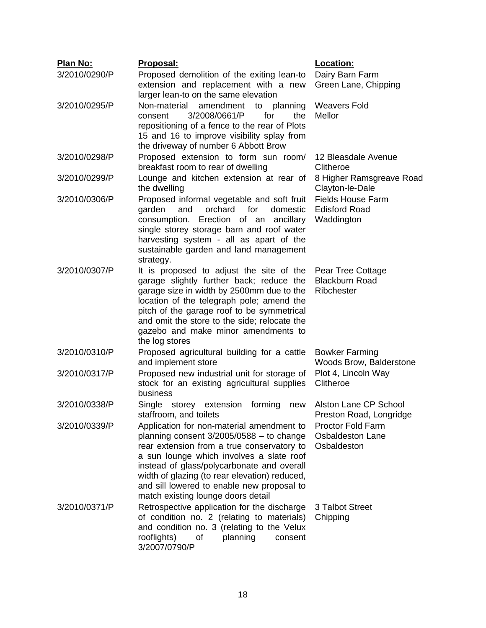| Plan No:      | <u>Proposal:</u>                                                                                                                                                                                                                                                                                                                                                     | <u>Location:</u>                                                   |
|---------------|----------------------------------------------------------------------------------------------------------------------------------------------------------------------------------------------------------------------------------------------------------------------------------------------------------------------------------------------------------------------|--------------------------------------------------------------------|
| 3/2010/0290/P | Proposed demolition of the exiting lean-to<br>extension and replacement with a new<br>larger lean-to on the same elevation                                                                                                                                                                                                                                           | Dairy Barn Farm<br>Green Lane, Chipping                            |
| 3/2010/0295/P | Non-material<br>amendment to planning<br>3/2008/0661/P<br>for<br>the<br>consent<br>repositioning of a fence to the rear of Plots<br>15 and 16 to improve visibility splay from<br>the driveway of number 6 Abbott Brow                                                                                                                                               | <b>Weavers Fold</b><br>Mellor                                      |
| 3/2010/0298/P | Proposed extension to form sun room/<br>breakfast room to rear of dwelling                                                                                                                                                                                                                                                                                           | 12 Bleasdale Avenue<br>Clitheroe                                   |
| 3/2010/0299/P | Lounge and kitchen extension at rear of<br>the dwelling                                                                                                                                                                                                                                                                                                              | 8 Higher Ramsgreave Road<br>Clayton-le-Dale                        |
| 3/2010/0306/P | Proposed informal vegetable and soft fruit<br>orchard for<br>domestic<br>garden<br>and<br>Erection of an ancillary<br>consumption.<br>single storey storage barn and roof water<br>harvesting system - all as apart of the<br>sustainable garden and land management<br>strategy.                                                                                    | <b>Fields House Farm</b><br><b>Edisford Road</b><br>Waddington     |
| 3/2010/0307/P | It is proposed to adjust the site of the<br>garage slightly further back; reduce the<br>garage size in width by 2500mm due to the<br>location of the telegraph pole; amend the<br>pitch of the garage roof to be symmetrical<br>and omit the store to the side; relocate the<br>gazebo and make minor amendments to<br>the log stores                                | Pear Tree Cottage<br><b>Blackburn Road</b><br>Ribchester           |
| 3/2010/0310/P | Proposed agricultural building for a cattle<br>and implement store                                                                                                                                                                                                                                                                                                   | <b>Bowker Farming</b><br>Woods Brow, Balderstone                   |
| 3/2010/0317/P | Proposed new industrial unit for storage of<br>stock for an existing agricultural supplies<br>business                                                                                                                                                                                                                                                               | Plot 4, Lincoln Way<br>Clitheroe                                   |
| 3/2010/0338/P | Single storey extension<br>forming<br>new<br>staffroom, and toilets                                                                                                                                                                                                                                                                                                  | Alston Lane CP School<br>Preston Road, Longridge                   |
| 3/2010/0339/P | Application for non-material amendment to<br>planning consent $3/2005/0588 -$ to change<br>rear extension from a true conservatory to<br>a sun lounge which involves a slate roof<br>instead of glass/polycarbonate and overall<br>width of glazing (to rear elevation) reduced,<br>and sill lowered to enable new proposal to<br>match existing lounge doors detail | <b>Proctor Fold Farm</b><br><b>Osbaldeston Lane</b><br>Osbaldeston |
| 3/2010/0371/P | Retrospective application for the discharge<br>of condition no. 2 (relating to materials)<br>and condition no. 3 (relating to the Velux<br>rooflights)<br>planning<br>οf<br>consent<br>3/2007/0790/P                                                                                                                                                                 | 3 Talbot Street<br>Chipping                                        |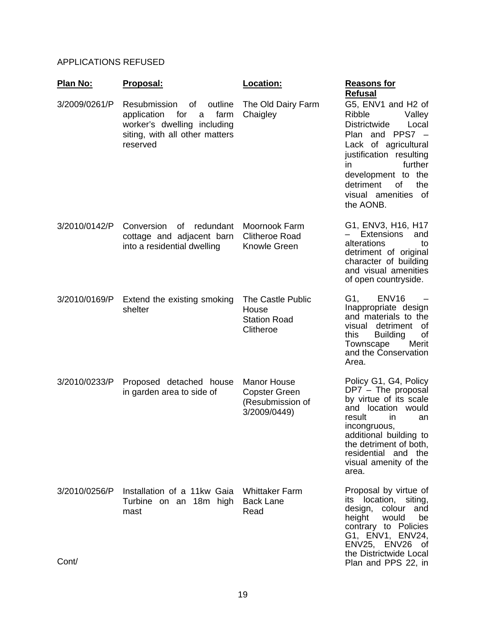# APPLICATIONS REFUSED

| <u>Plan No:</u>        | Proposal:                                                                                                                                     | Location:                                                                      | <b>Reasons for</b><br><b>Refusal</b>                                                                                                                                                                                                                      |
|------------------------|-----------------------------------------------------------------------------------------------------------------------------------------------|--------------------------------------------------------------------------------|-----------------------------------------------------------------------------------------------------------------------------------------------------------------------------------------------------------------------------------------------------------|
| 3/2009/0261/P          | Resubmission<br>of<br>outline<br>farm<br>application<br>for<br>a<br>worker's dwelling including<br>siting, with all other matters<br>reserved | The Old Dairy Farm<br>Chaigley                                                 | G5, ENV1 and H2 of<br>Ribble<br>Valley<br><b>Districtwide</b><br>Local<br>and $PPS7 -$<br>Plan<br>Lack of agricultural<br>justification resulting<br>further<br>in<br>development to the<br>of<br>detriment<br>the<br>visual amenities<br>of<br>the AONB. |
| 3/2010/0142/P          | Conversion<br>redundant<br>of l<br>cottage and adjacent barn<br>into a residential dwelling                                                   | Moornook Farm<br><b>Clitheroe Road</b><br><b>Knowle Green</b>                  | G1, ENV3, H16, H17<br><b>Extensions</b><br>and<br>alterations<br>to<br>detriment of original<br>character of building<br>and visual amenities<br>of open countryside.                                                                                     |
| 3/2010/0169/P          | Extend the existing smoking<br>shelter                                                                                                        | The Castle Public<br>House<br><b>Station Road</b><br>Clitheroe                 | G1,<br>ENV <sub>16</sub><br>Inappropriate design<br>and materials to the<br>visual<br>detriment<br>0f<br>this<br><b>Building</b><br>οf<br>Townscape<br>Merit<br>and the Conservation<br>Area.                                                             |
| 3/2010/0233/P          | Proposed detached house<br>in garden area to side of                                                                                          | <b>Manor House</b><br><b>Copster Green</b><br>(Resubmission of<br>3/2009/0449) | Policy G1, G4, Policy<br>DP7 - The proposal<br>by virtue of its scale<br>and location would<br>result<br><i>in</i><br>an<br>incongruous,<br>additional building to<br>the detriment of both,<br>residential and the<br>visual amenity of the<br>area.     |
| 3/2010/0256/P<br>Cont/ | Installation of a 11kw Gaia<br>Turbine on an 18m high<br>mast                                                                                 | <b>Whittaker Farm</b><br><b>Back Lane</b><br>Read                              | Proposal by virtue of<br>its location, siting,<br>design, colour<br>and<br>would<br>height<br>be<br>contrary to Policies<br>G1, ENV1, ENV24,<br>ENV25, ENV26<br>_ot<br>the Districtwide Local<br>Plan and PPS 22, in                                      |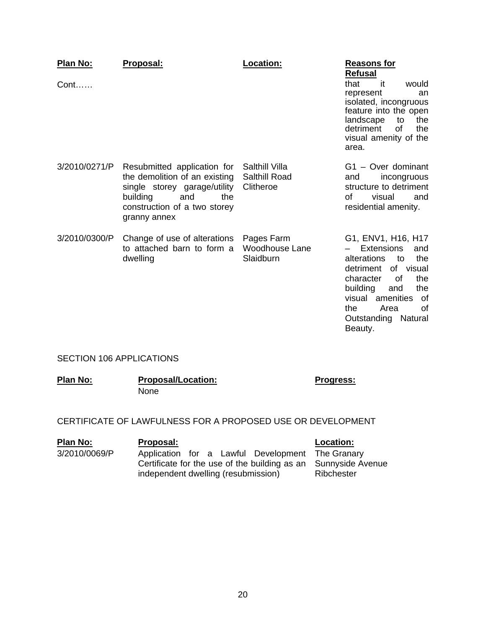| <b>Plan No:</b><br>$Cont. \ldots$ | Proposal:                                                                                                                                                              | Location:                                    | <b>Reasons for</b><br><b>Refusal</b><br>that<br>it<br>would<br>represent<br>an<br>isolated, incongruous<br>feature into the open<br>landscape<br>to<br>the<br><b>of</b><br>detriment<br>the<br>visual amenity of the<br>area.                    |
|-----------------------------------|------------------------------------------------------------------------------------------------------------------------------------------------------------------------|----------------------------------------------|--------------------------------------------------------------------------------------------------------------------------------------------------------------------------------------------------------------------------------------------------|
| 3/2010/0271/P                     | Resubmitted application for<br>the demolition of an existing<br>single storey garage/utility<br>building<br>and<br>the<br>construction of a two storey<br>granny annex | Salthill Villa<br>Salthill Road<br>Clitheroe | G1 - Over dominant<br>incongruous<br>and<br>structure to detriment<br>οf<br>visual<br>and<br>residential amenity.                                                                                                                                |
| 3/2010/0300/P                     | Change of use of alterations<br>to attached barn to form a<br>dwelling                                                                                                 | Pages Farm<br>Woodhouse Lane<br>Slaidburn    | G1, ENV1, H16, H17<br><b>Extensions</b><br>and<br>alterations<br>the<br>to<br>detriment<br>of visual<br>of<br>the<br>character<br>building<br>the<br>and<br>visual<br>amenities<br>of<br>the.<br>Area<br>οf<br>Outstanding<br>Natural<br>Beauty. |

## SECTION 106 APPLICATIONS

| Plan No: | <b>Proposal/Location:</b> | <b>Progress:</b> |
|----------|---------------------------|------------------|
|          | <b>None</b>               |                  |

CERTIFICATE OF LAWFULNESS FOR A PROPOSED USE OR DEVELOPMENT

#### **Plan No: Proposal: Location:** 3/2010/0069/P Application for a Lawful Development Certificate for the use of the building as an independent dwelling (resubmission) The Granary Sunnyside Avenue **Ribchester**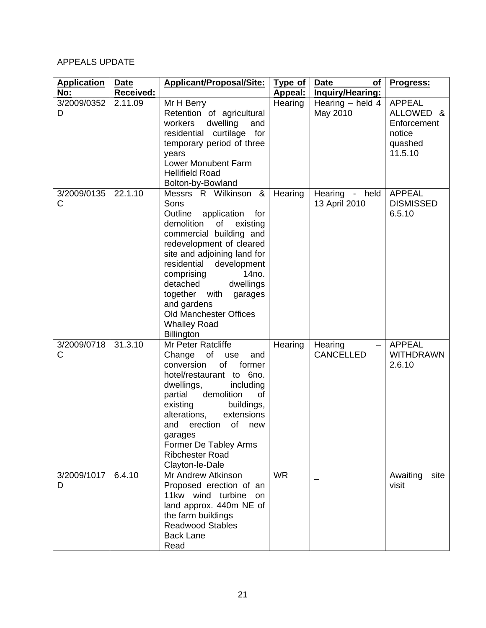# APPEALS UPDATE

| <b>Application</b> | <b>Date</b> | <b>Applicant/Proposal/Site:</b>                                                                                                                                                                                                                                                                                                                                                                     | <b>Type of</b> | <b>Date</b><br><b>of</b>        | Progress:                                                                 |
|--------------------|-------------|-----------------------------------------------------------------------------------------------------------------------------------------------------------------------------------------------------------------------------------------------------------------------------------------------------------------------------------------------------------------------------------------------------|----------------|---------------------------------|---------------------------------------------------------------------------|
| No:                | Received:   |                                                                                                                                                                                                                                                                                                                                                                                                     | Appeal:        | Inquiry/Hearing:                |                                                                           |
| 3/2009/0352<br>D   | 2.11.09     | Mr H Berry<br>Retention of agricultural<br>dwelling<br>workers<br>and<br>residential curtilage for<br>temporary period of three<br>years<br><b>Lower Monubent Farm</b><br><b>Hellifield Road</b>                                                                                                                                                                                                    | Hearing        | Hearing $-$ held 4<br>May 2010  | <b>APPEAL</b><br>ALLOWED &<br>Enforcement<br>notice<br>quashed<br>11.5.10 |
|                    |             | Bolton-by-Bowland                                                                                                                                                                                                                                                                                                                                                                                   |                |                                 |                                                                           |
| 3/2009/0135<br>C   | 22.1.10     | Messrs R Wilkinson &<br>Sons<br>Outline<br>application for<br>demolition<br>of<br>existing<br>commercial building and<br>redevelopment of cleared<br>site and adjoining land for<br>residential<br>development<br>14 <sub>no</sub> .<br>comprising<br>dwellings<br>detached<br>together with<br>garages<br>and gardens<br><b>Old Manchester Offices</b><br><b>Whalley Road</b><br><b>Billington</b> | Hearing        | Hearing - held<br>13 April 2010 | <b>APPEAL</b><br><b>DISMISSED</b><br>6.5.10                               |
| 3/2009/0718<br>C   | 31.3.10     | Mr Peter Ratcliffe<br>of<br>Change<br>use<br>and<br>of<br>conversion<br>former<br>hotel/restaurant to 6no.<br>dwellings,<br>including<br>demolition<br>partial<br>οf<br>existing<br>buildings,<br>alterations,<br>extensions<br>erection<br>of<br>and<br>new<br>garages<br>Former De Tabley Arms<br><b>Ribchester Road</b><br>Clayton-le-Dale                                                       | Hearing        | Hearing<br><b>CANCELLED</b>     | <b>APPEAL</b><br><b>WITHDRAWN</b><br>2.6.10                               |
| 3/2009/1017<br>D   | 6.4.10      | Mr Andrew Atkinson<br>Proposed erection of an<br>11kw wind turbine on<br>land approx. 440m NE of<br>the farm buildings<br><b>Readwood Stables</b><br><b>Back Lane</b><br>Read                                                                                                                                                                                                                       | <b>WR</b>      |                                 | Awaiting<br>site<br>visit                                                 |